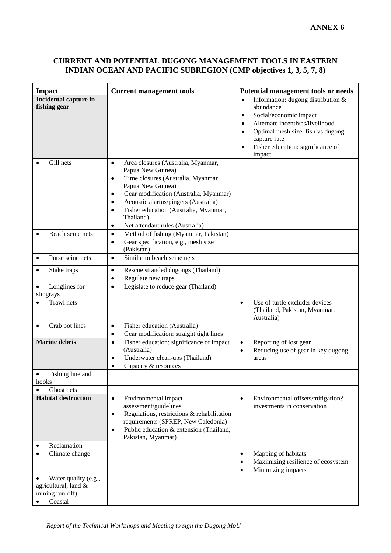## **CURRENT AND POTENTIAL DUGONG MANAGEMENT TOOLS IN EASTERN INDIAN OCEAN AND PACIFIC SUBREGION (CMP objectives 1, 3, 5, 7, 8)**

| <b>Impact</b>                                                   | <b>Current management tools</b>                                                                                                                                                                                                                                                                                                                                    | Potential management tools or needs                                                                                                                                                                                                                                                 |
|-----------------------------------------------------------------|--------------------------------------------------------------------------------------------------------------------------------------------------------------------------------------------------------------------------------------------------------------------------------------------------------------------------------------------------------------------|-------------------------------------------------------------------------------------------------------------------------------------------------------------------------------------------------------------------------------------------------------------------------------------|
| Incidental capture in<br>fishing gear                           |                                                                                                                                                                                                                                                                                                                                                                    | Information: dugong distribution $&$<br>$\bullet$<br>abundance<br>Social/economic impact<br>$\bullet$<br>Alternate incentives/livelihood<br>$\bullet$<br>Optimal mesh size: fish vs dugong<br>$\bullet$<br>capture rate<br>Fisher education: significance of<br>$\bullet$<br>impact |
| Gill nets                                                       | Area closures (Australia, Myanmar,<br>$\bullet$<br>Papua New Guinea)<br>Time closures (Australia, Myanmar,<br>$\bullet$<br>Papua New Guinea)<br>Gear modification (Australia, Myanmar)<br>٠<br>Acoustic alarms/pingers (Australia)<br>$\bullet$<br>Fisher education (Australia, Myanmar,<br>$\bullet$<br>Thailand)<br>Net attendant rules (Australia)<br>$\bullet$ |                                                                                                                                                                                                                                                                                     |
| Beach seine nets                                                | Method of fishing (Myanmar, Pakistan)<br>$\bullet$<br>Gear specification, e.g., mesh size<br>$\bullet$<br>(Pakistan)                                                                                                                                                                                                                                               |                                                                                                                                                                                                                                                                                     |
| Purse seine nets<br>$\bullet$                                   | Similar to beach seine nets<br>$\bullet$                                                                                                                                                                                                                                                                                                                           |                                                                                                                                                                                                                                                                                     |
| Stake traps<br>$\bullet$                                        | Rescue stranded dugongs (Thailand)<br>$\bullet$<br>Regulate new traps<br>$\bullet$                                                                                                                                                                                                                                                                                 |                                                                                                                                                                                                                                                                                     |
| Longlines for<br>$\bullet$<br>stingrays                         | Legislate to reduce gear (Thailand)<br>$\bullet$                                                                                                                                                                                                                                                                                                                   |                                                                                                                                                                                                                                                                                     |
| Trawl nets                                                      |                                                                                                                                                                                                                                                                                                                                                                    | Use of turtle excluder devices<br>$\bullet$<br>(Thailand, Pakistan, Myanmar,<br>Australia)                                                                                                                                                                                          |
| Crab pot lines<br>$\bullet$                                     | Fisher education (Australia)<br>$\bullet$<br>Gear modification: straight tight lines<br>$\bullet$                                                                                                                                                                                                                                                                  |                                                                                                                                                                                                                                                                                     |
| <b>Marine debris</b>                                            | Fisher education: significance of impact<br>$\bullet$<br>(Australia)<br>Underwater clean-ups (Thailand)<br>$\bullet$<br>Capacity & resources                                                                                                                                                                                                                       | Reporting of lost gear<br>$\bullet$<br>Reducing use of gear in key dugong<br>$\bullet$<br>areas                                                                                                                                                                                     |
| Fishing line and<br>$\bullet$<br>hooks                          |                                                                                                                                                                                                                                                                                                                                                                    |                                                                                                                                                                                                                                                                                     |
| Ghost nets                                                      |                                                                                                                                                                                                                                                                                                                                                                    |                                                                                                                                                                                                                                                                                     |
| <b>Habitat destruction</b>                                      | Environmental impact<br>$\bullet$<br>assessment/guidelines<br>Regulations, restrictions & rehabilitation<br>$\bullet$<br>requirements (SPREP, New Caledonia)<br>Public education & extension (Thailand,<br>$\bullet$<br>Pakistan, Myanmar)                                                                                                                         | Environmental offsets/mitigation?<br>$\bullet$<br>investments in conservation                                                                                                                                                                                                       |
| Reclamation<br>٠                                                |                                                                                                                                                                                                                                                                                                                                                                    |                                                                                                                                                                                                                                                                                     |
| Climate change                                                  |                                                                                                                                                                                                                                                                                                                                                                    | Mapping of habitats<br>$\bullet$<br>Maximizing resilience of ecosystem<br>$\bullet$<br>Minimizing impacts<br>$\bullet$                                                                                                                                                              |
| Water quality (e.g.,<br>agricultural, land &<br>mining run-off) |                                                                                                                                                                                                                                                                                                                                                                    |                                                                                                                                                                                                                                                                                     |
| Coastal<br>$\bullet$                                            |                                                                                                                                                                                                                                                                                                                                                                    |                                                                                                                                                                                                                                                                                     |